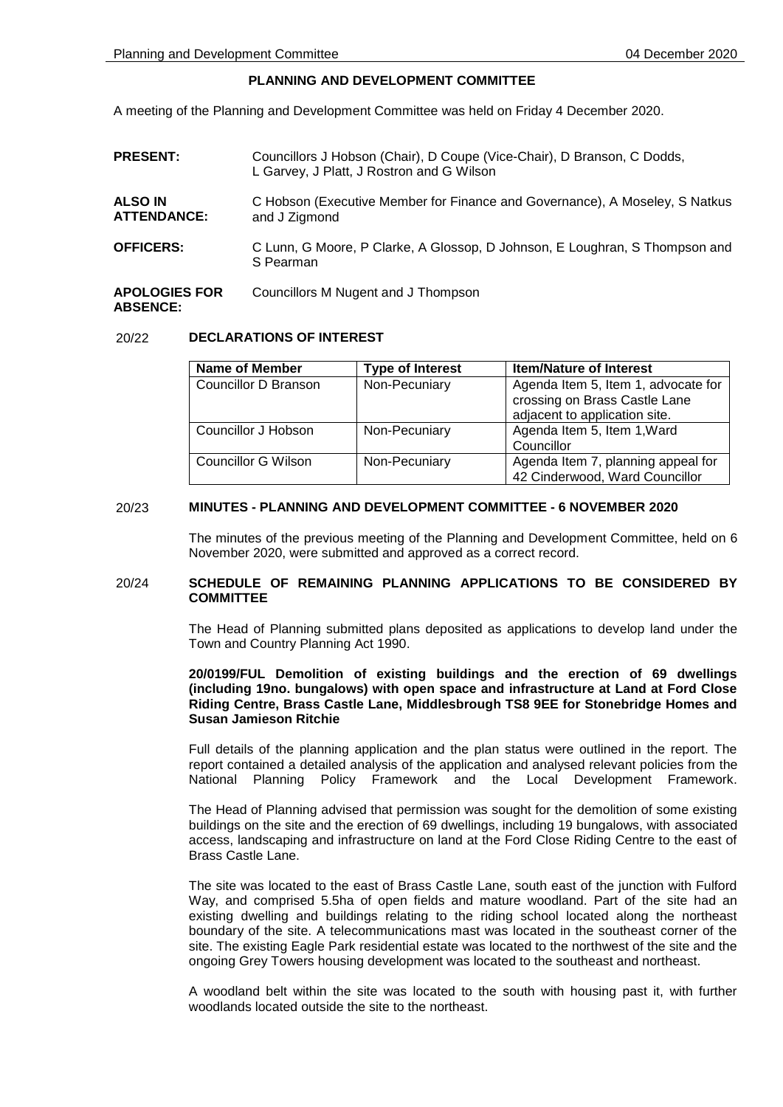# **PLANNING AND DEVELOPMENT COMMITTEE**

A meeting of the Planning and Development Committee was held on Friday 4 December 2020.

| <b>PRESENT:</b>                      | Councillors J Hobson (Chair), D Coupe (Vice-Chair), D Branson, C Dodds,<br>L Garvey, J Platt, J Rostron and G Wilson |  |
|--------------------------------------|----------------------------------------------------------------------------------------------------------------------|--|
| <b>ALSO IN</b><br><b>ATTENDANCE:</b> | C Hobson (Executive Member for Finance and Governance), A Moseley, S Natkus<br>and J Zigmond                         |  |
| <b>OFFICERS:</b>                     | C Lunn, G Moore, P Clarke, A Glossop, D Johnson, E Loughran, S Thompson and<br>S Pearman                             |  |
| <b>APOLOGIES FOR</b>                 | Councillors M Nugent and J Thompson                                                                                  |  |

### **ABSENCE:**

# 20/22 **DECLARATIONS OF INTEREST**

| <b>Name of Member</b> | <b>Type of Interest</b> | <b>Item/Nature of Interest</b>                                                                        |
|-----------------------|-------------------------|-------------------------------------------------------------------------------------------------------|
| Councillor D Branson  | Non-Pecuniary           | Agenda Item 5, Item 1, advocate for<br>crossing on Brass Castle Lane<br>adjacent to application site. |
| Councillor J Hobson   | Non-Pecuniary           | Agenda Item 5, Item 1, Ward<br>Councillor                                                             |
| Councillor G Wilson   | Non-Pecuniary           | Agenda Item 7, planning appeal for<br>42 Cinderwood, Ward Councillor                                  |

## 20/23 **MINUTES - PLANNING AND DEVELOPMENT COMMITTEE - 6 NOVEMBER 2020**

The minutes of the previous meeting of the Planning and Development Committee, held on 6 November 2020, were submitted and approved as a correct record.

# 20/24 **SCHEDULE OF REMAINING PLANNING APPLICATIONS TO BE CONSIDERED BY COMMITTEE**

The Head of Planning submitted plans deposited as applications to develop land under the Town and Country Planning Act 1990.

## **20/0199/FUL Demolition of existing buildings and the erection of 69 dwellings (including 19no. bungalows) with open space and infrastructure at Land at Ford Close Riding Centre, Brass Castle Lane, Middlesbrough TS8 9EE for Stonebridge Homes and Susan Jamieson Ritchie**

Full details of the planning application and the plan status were outlined in the report. The report contained a detailed analysis of the application and analysed relevant policies from the National Planning Policy Framework and the Local Development Framework.

The Head of Planning advised that permission was sought for the demolition of some existing buildings on the site and the erection of 69 dwellings, including 19 bungalows, with associated access, landscaping and infrastructure on land at the Ford Close Riding Centre to the east of Brass Castle Lane.

The site was located to the east of Brass Castle Lane, south east of the junction with Fulford Way, and comprised 5.5ha of open fields and mature woodland. Part of the site had an existing dwelling and buildings relating to the riding school located along the northeast boundary of the site. A telecommunications mast was located in the southeast corner of the site. The existing Eagle Park residential estate was located to the northwest of the site and the ongoing Grey Towers housing development was located to the southeast and northeast.

A woodland belt within the site was located to the south with housing past it, with further woodlands located outside the site to the northeast.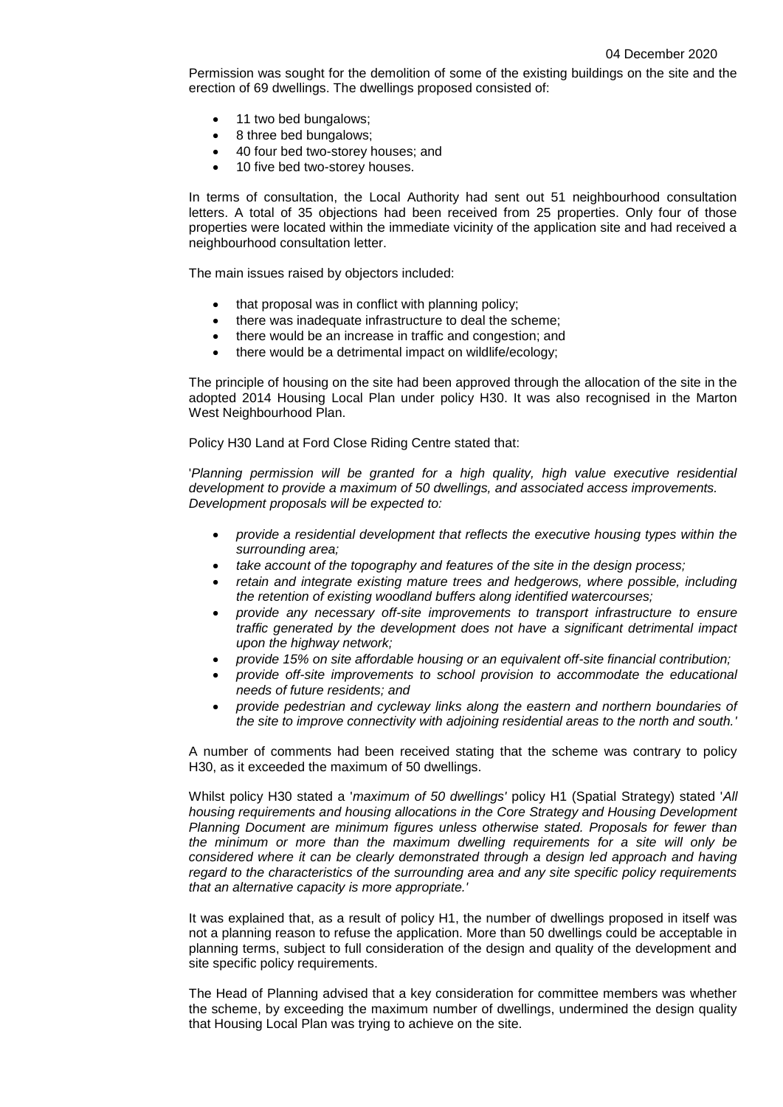Permission was sought for the demolition of some of the existing buildings on the site and the erection of 69 dwellings. The dwellings proposed consisted of:

- 11 two bed bungalows;
- 8 three bed bungalows;
- 40 four bed two-storey houses; and
- 10 five bed two-storey houses.

In terms of consultation, the Local Authority had sent out 51 neighbourhood consultation letters. A total of 35 objections had been received from 25 properties. Only four of those properties were located within the immediate vicinity of the application site and had received a neighbourhood consultation letter.

The main issues raised by objectors included:

- that proposal was in conflict with planning policy;
- there was inadequate infrastructure to deal the scheme:
- there would be an increase in traffic and congestion; and
- there would be a detrimental impact on wildlife/ecology;

The principle of housing on the site had been approved through the allocation of the site in the adopted 2014 Housing Local Plan under policy H30. It was also recognised in the Marton West Neighbourhood Plan.

Policy H30 Land at Ford Close Riding Centre stated that:

'*Planning permission will be granted for a high quality, high value executive residential development to provide a maximum of 50 dwellings, and associated access improvements. Development proposals will be expected to:*

- *provide a residential development that reflects the executive housing types within the surrounding area;*
- *take account of the topography and features of the site in the design process;*
- retain and integrate existing mature trees and hedgerows, where possible, including *the retention of existing woodland buffers along identified watercourses;*
- *provide any necessary off-site improvements to transport infrastructure to ensure traffic generated by the development does not have a significant detrimental impact upon the highway network;*
- *provide 15% on site affordable housing or an equivalent off-site financial contribution;*
- *provide off-site improvements to school provision to accommodate the educational needs of future residents; and*
- *provide pedestrian and cycleway links along the eastern and northern boundaries of the site to improve connectivity with adjoining residential areas to the north and south.'*

A number of comments had been received stating that the scheme was contrary to policy H30, as it exceeded the maximum of 50 dwellings.

Whilst policy H30 stated a '*maximum of 50 dwellings'* policy H1 (Spatial Strategy) stated '*All housing requirements and housing allocations in the Core Strategy and Housing Development Planning Document are minimum figures unless otherwise stated. Proposals for fewer than the minimum or more than the maximum dwelling requirements for a site will only be considered where it can be clearly demonstrated through a design led approach and having regard to the characteristics of the surrounding area and any site specific policy requirements that an alternative capacity is more appropriate.'*

It was explained that, as a result of policy H1, the number of dwellings proposed in itself was not a planning reason to refuse the application. More than 50 dwellings could be acceptable in planning terms, subject to full consideration of the design and quality of the development and site specific policy requirements.

The Head of Planning advised that a key consideration for committee members was whether the scheme, by exceeding the maximum number of dwellings, undermined the design quality that Housing Local Plan was trying to achieve on the site.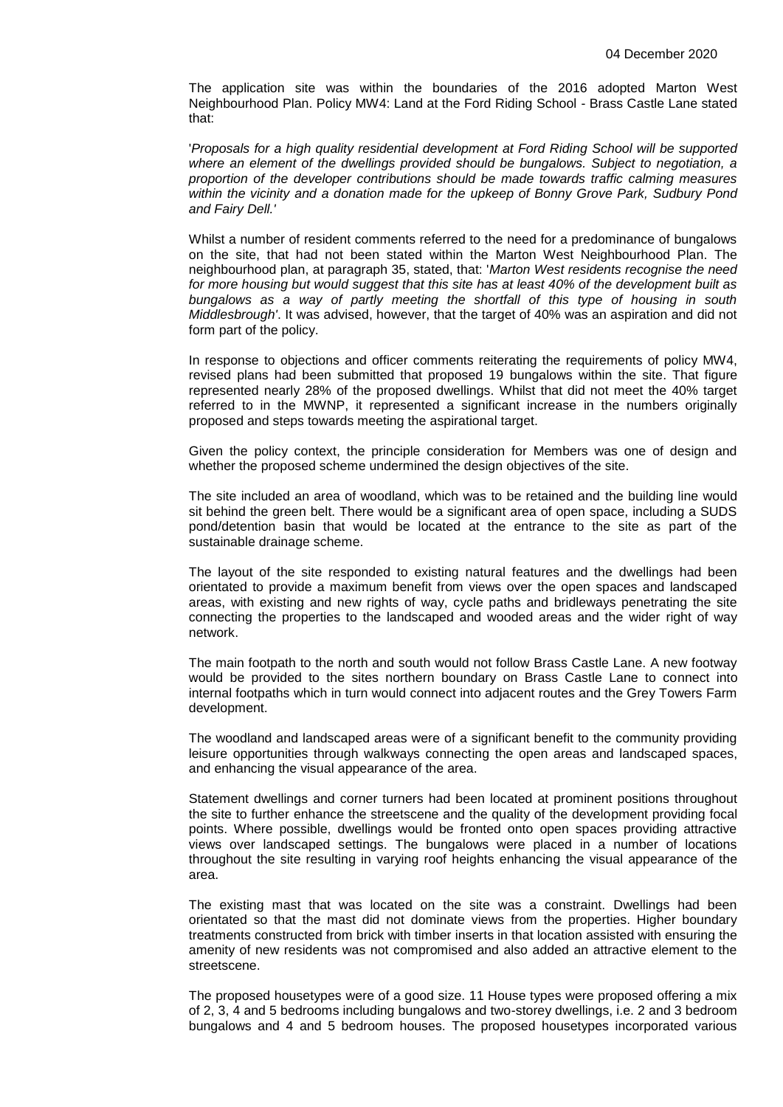The application site was within the boundaries of the 2016 adopted Marton West Neighbourhood Plan. Policy MW4: Land at the Ford Riding School - Brass Castle Lane stated that:

'*Proposals for a high quality residential development at Ford Riding School will be supported where an element of the dwellings provided should be bungalows. Subject to negotiation, a proportion of the developer contributions should be made towards traffic calming measures within the vicinity and a donation made for the upkeep of Bonny Grove Park, Sudbury Pond and Fairy Dell.'*

Whilst a number of resident comments referred to the need for a predominance of bungalows on the site, that had not been stated within the Marton West Neighbourhood Plan. The neighbourhood plan, at paragraph 35, stated, that: '*Marton West residents recognise the need for more housing but would suggest that this site has at least 40% of the development built as bungalows as a way of partly meeting the shortfall of this type of housing in south Middlesbrough'*. It was advised, however, that the target of 40% was an aspiration and did not form part of the policy.

In response to objections and officer comments reiterating the requirements of policy MW4, revised plans had been submitted that proposed 19 bungalows within the site. That figure represented nearly 28% of the proposed dwellings. Whilst that did not meet the 40% target referred to in the MWNP, it represented a significant increase in the numbers originally proposed and steps towards meeting the aspirational target.

Given the policy context, the principle consideration for Members was one of design and whether the proposed scheme undermined the design objectives of the site.

The site included an area of woodland, which was to be retained and the building line would sit behind the green belt. There would be a significant area of open space, including a SUDS pond/detention basin that would be located at the entrance to the site as part of the sustainable drainage scheme.

The layout of the site responded to existing natural features and the dwellings had been orientated to provide a maximum benefit from views over the open spaces and landscaped areas, with existing and new rights of way, cycle paths and bridleways penetrating the site connecting the properties to the landscaped and wooded areas and the wider right of way network.

The main footpath to the north and south would not follow Brass Castle Lane. A new footway would be provided to the sites northern boundary on Brass Castle Lane to connect into internal footpaths which in turn would connect into adjacent routes and the Grey Towers Farm development.

The woodland and landscaped areas were of a significant benefit to the community providing leisure opportunities through walkways connecting the open areas and landscaped spaces, and enhancing the visual appearance of the area.

Statement dwellings and corner turners had been located at prominent positions throughout the site to further enhance the streetscene and the quality of the development providing focal points. Where possible, dwellings would be fronted onto open spaces providing attractive views over landscaped settings. The bungalows were placed in a number of locations throughout the site resulting in varying roof heights enhancing the visual appearance of the area.

The existing mast that was located on the site was a constraint. Dwellings had been orientated so that the mast did not dominate views from the properties. Higher boundary treatments constructed from brick with timber inserts in that location assisted with ensuring the amenity of new residents was not compromised and also added an attractive element to the streetscene.

The proposed housetypes were of a good size. 11 House types were proposed offering a mix of 2, 3, 4 and 5 bedrooms including bungalows and two-storey dwellings, i.e. 2 and 3 bedroom bungalows and 4 and 5 bedroom houses. The proposed housetypes incorporated various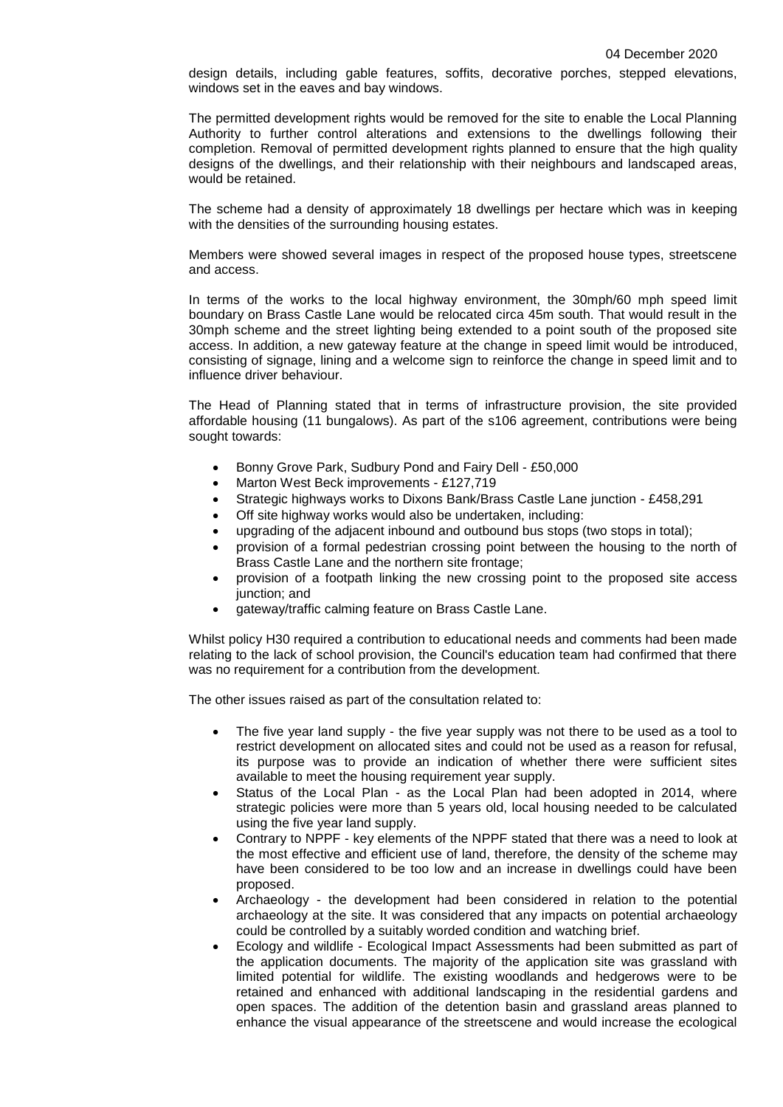design details, including gable features, soffits, decorative porches, stepped elevations, windows set in the eaves and bay windows.

The permitted development rights would be removed for the site to enable the Local Planning Authority to further control alterations and extensions to the dwellings following their completion. Removal of permitted development rights planned to ensure that the high quality designs of the dwellings, and their relationship with their neighbours and landscaped areas, would be retained.

The scheme had a density of approximately 18 dwellings per hectare which was in keeping with the densities of the surrounding housing estates.

Members were showed several images in respect of the proposed house types, streetscene and access.

In terms of the works to the local highway environment, the 30mph/60 mph speed limit boundary on Brass Castle Lane would be relocated circa 45m south. That would result in the 30mph scheme and the street lighting being extended to a point south of the proposed site access. In addition, a new gateway feature at the change in speed limit would be introduced, consisting of signage, lining and a welcome sign to reinforce the change in speed limit and to influence driver behaviour.

The Head of Planning stated that in terms of infrastructure provision, the site provided affordable housing (11 bungalows). As part of the s106 agreement, contributions were being sought towards:

- Bonny Grove Park, Sudbury Pond and Fairy Dell £50,000
- Marton West Beck improvements £127,719
- Strategic highways works to Dixons Bank/Brass Castle Lane junction £458,291
- Off site highway works would also be undertaken, including:
- upgrading of the adjacent inbound and outbound bus stops (two stops in total);
- provision of a formal pedestrian crossing point between the housing to the north of Brass Castle Lane and the northern site frontage;
- provision of a footpath linking the new crossing point to the proposed site access junction; and
- gateway/traffic calming feature on Brass Castle Lane.

Whilst policy H30 required a contribution to educational needs and comments had been made relating to the lack of school provision, the Council's education team had confirmed that there was no requirement for a contribution from the development.

The other issues raised as part of the consultation related to:

- The five year land supply the five year supply was not there to be used as a tool to restrict development on allocated sites and could not be used as a reason for refusal, its purpose was to provide an indication of whether there were sufficient sites available to meet the housing requirement year supply.
- Status of the Local Plan as the Local Plan had been adopted in 2014, where strategic policies were more than 5 years old, local housing needed to be calculated using the five year land supply.
- Contrary to NPPF key elements of the NPPF stated that there was a need to look at the most effective and efficient use of land, therefore, the density of the scheme may have been considered to be too low and an increase in dwellings could have been proposed.
- Archaeology the development had been considered in relation to the potential archaeology at the site. It was considered that any impacts on potential archaeology could be controlled by a suitably worded condition and watching brief.
- Ecology and wildlife Ecological Impact Assessments had been submitted as part of the application documents. The majority of the application site was grassland with limited potential for wildlife. The existing woodlands and hedgerows were to be retained and enhanced with additional landscaping in the residential gardens and open spaces. The addition of the detention basin and grassland areas planned to enhance the visual appearance of the streetscene and would increase the ecological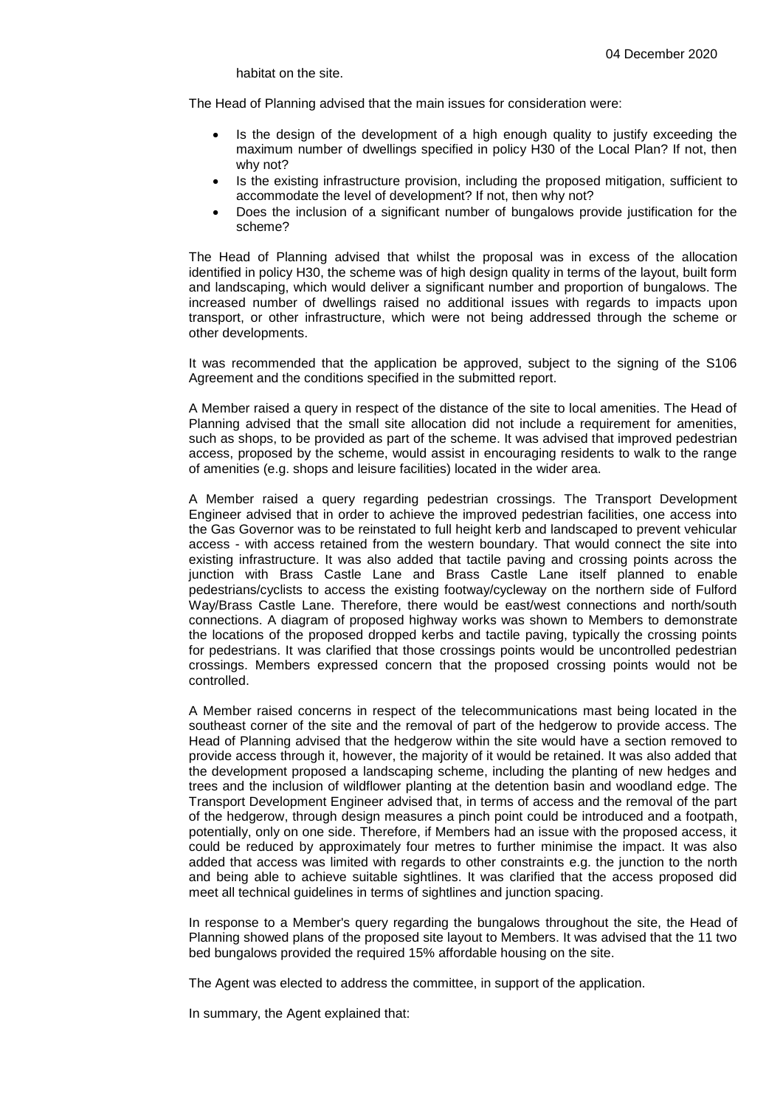habitat on the site.

The Head of Planning advised that the main issues for consideration were:

- Is the design of the development of a high enough quality to justify exceeding the maximum number of dwellings specified in policy H30 of the Local Plan? If not, then why not?
- Is the existing infrastructure provision, including the proposed mitigation, sufficient to accommodate the level of development? If not, then why not?
- Does the inclusion of a significant number of bungalows provide justification for the scheme?

The Head of Planning advised that whilst the proposal was in excess of the allocation identified in policy H30, the scheme was of high design quality in terms of the layout, built form and landscaping, which would deliver a significant number and proportion of bungalows. The increased number of dwellings raised no additional issues with regards to impacts upon transport, or other infrastructure, which were not being addressed through the scheme or other developments.

It was recommended that the application be approved, subject to the signing of the S106 Agreement and the conditions specified in the submitted report.

A Member raised a query in respect of the distance of the site to local amenities. The Head of Planning advised that the small site allocation did not include a requirement for amenities, such as shops, to be provided as part of the scheme. It was advised that improved pedestrian access, proposed by the scheme, would assist in encouraging residents to walk to the range of amenities (e.g. shops and leisure facilities) located in the wider area.

A Member raised a query regarding pedestrian crossings. The Transport Development Engineer advised that in order to achieve the improved pedestrian facilities, one access into the Gas Governor was to be reinstated to full height kerb and landscaped to prevent vehicular access - with access retained from the western boundary. That would connect the site into existing infrastructure. It was also added that tactile paving and crossing points across the junction with Brass Castle Lane and Brass Castle Lane itself planned to enable pedestrians/cyclists to access the existing footway/cycleway on the northern side of Fulford Way/Brass Castle Lane. Therefore, there would be east/west connections and north/south connections. A diagram of proposed highway works was shown to Members to demonstrate the locations of the proposed dropped kerbs and tactile paving, typically the crossing points for pedestrians. It was clarified that those crossings points would be uncontrolled pedestrian crossings. Members expressed concern that the proposed crossing points would not be controlled.

A Member raised concerns in respect of the telecommunications mast being located in the southeast corner of the site and the removal of part of the hedgerow to provide access. The Head of Planning advised that the hedgerow within the site would have a section removed to provide access through it, however, the majority of it would be retained. It was also added that the development proposed a landscaping scheme, including the planting of new hedges and trees and the inclusion of wildflower planting at the detention basin and woodland edge. The Transport Development Engineer advised that, in terms of access and the removal of the part of the hedgerow, through design measures a pinch point could be introduced and a footpath, potentially, only on one side. Therefore, if Members had an issue with the proposed access, it could be reduced by approximately four metres to further minimise the impact. It was also added that access was limited with regards to other constraints e.g. the junction to the north and being able to achieve suitable sightlines. It was clarified that the access proposed did meet all technical guidelines in terms of sightlines and junction spacing.

In response to a Member's query regarding the bungalows throughout the site, the Head of Planning showed plans of the proposed site layout to Members. It was advised that the 11 two bed bungalows provided the required 15% affordable housing on the site.

The Agent was elected to address the committee, in support of the application.

In summary, the Agent explained that: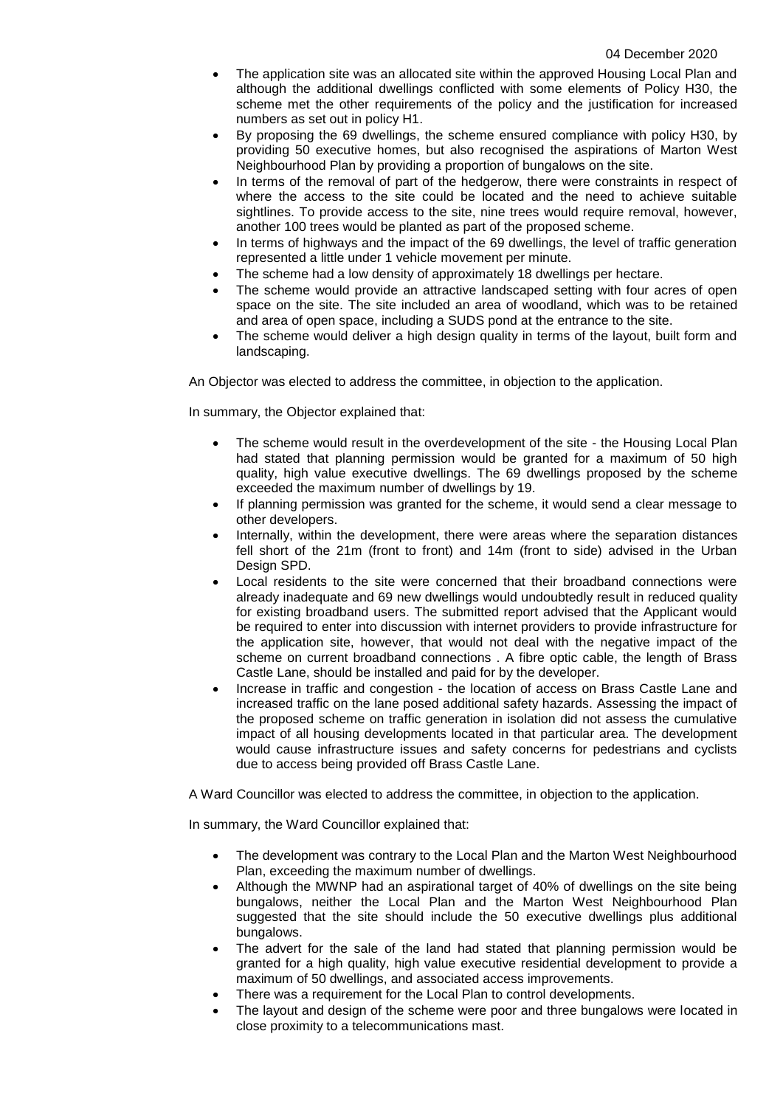- The application site was an allocated site within the approved Housing Local Plan and although the additional dwellings conflicted with some elements of Policy H30, the scheme met the other requirements of the policy and the justification for increased numbers as set out in policy H1.
- By proposing the 69 dwellings, the scheme ensured compliance with policy H30, by providing 50 executive homes, but also recognised the aspirations of Marton West Neighbourhood Plan by providing a proportion of bungalows on the site.
- In terms of the removal of part of the hedgerow, there were constraints in respect of where the access to the site could be located and the need to achieve suitable sightlines. To provide access to the site, nine trees would require removal, however, another 100 trees would be planted as part of the proposed scheme.
- In terms of highways and the impact of the 69 dwellings, the level of traffic generation represented a little under 1 vehicle movement per minute.
- The scheme had a low density of approximately 18 dwellings per hectare.
- The scheme would provide an attractive landscaped setting with four acres of open space on the site. The site included an area of woodland, which was to be retained and area of open space, including a SUDS pond at the entrance to the site.
- The scheme would deliver a high design quality in terms of the layout, built form and landscaping.

An Objector was elected to address the committee, in objection to the application.

In summary, the Objector explained that:

- The scheme would result in the overdevelopment of the site the Housing Local Plan had stated that planning permission would be granted for a maximum of 50 high quality, high value executive dwellings. The 69 dwellings proposed by the scheme exceeded the maximum number of dwellings by 19.
- If planning permission was granted for the scheme, it would send a clear message to other developers.
- Internally, within the development, there were areas where the separation distances fell short of the 21m (front to front) and 14m (front to side) advised in the Urban Design SPD.
- Local residents to the site were concerned that their broadband connections were already inadequate and 69 new dwellings would undoubtedly result in reduced quality for existing broadband users. The submitted report advised that the Applicant would be required to enter into discussion with internet providers to provide infrastructure for the application site, however, that would not deal with the negative impact of the scheme on current broadband connections . A fibre optic cable, the length of Brass Castle Lane, should be installed and paid for by the developer.
- Increase in traffic and congestion the location of access on Brass Castle Lane and increased traffic on the lane posed additional safety hazards. Assessing the impact of the proposed scheme on traffic generation in isolation did not assess the cumulative impact of all housing developments located in that particular area. The development would cause infrastructure issues and safety concerns for pedestrians and cyclists due to access being provided off Brass Castle Lane.

A Ward Councillor was elected to address the committee, in objection to the application.

In summary, the Ward Councillor explained that:

- The development was contrary to the Local Plan and the Marton West Neighbourhood Plan, exceeding the maximum number of dwellings.
- Although the MWNP had an aspirational target of 40% of dwellings on the site being bungalows, neither the Local Plan and the Marton West Neighbourhood Plan suggested that the site should include the 50 executive dwellings plus additional bungalows.
- The advert for the sale of the land had stated that planning permission would be granted for a high quality, high value executive residential development to provide a maximum of 50 dwellings, and associated access improvements.
- There was a requirement for the Local Plan to control developments.
- The layout and design of the scheme were poor and three bungalows were located in close proximity to a telecommunications mast.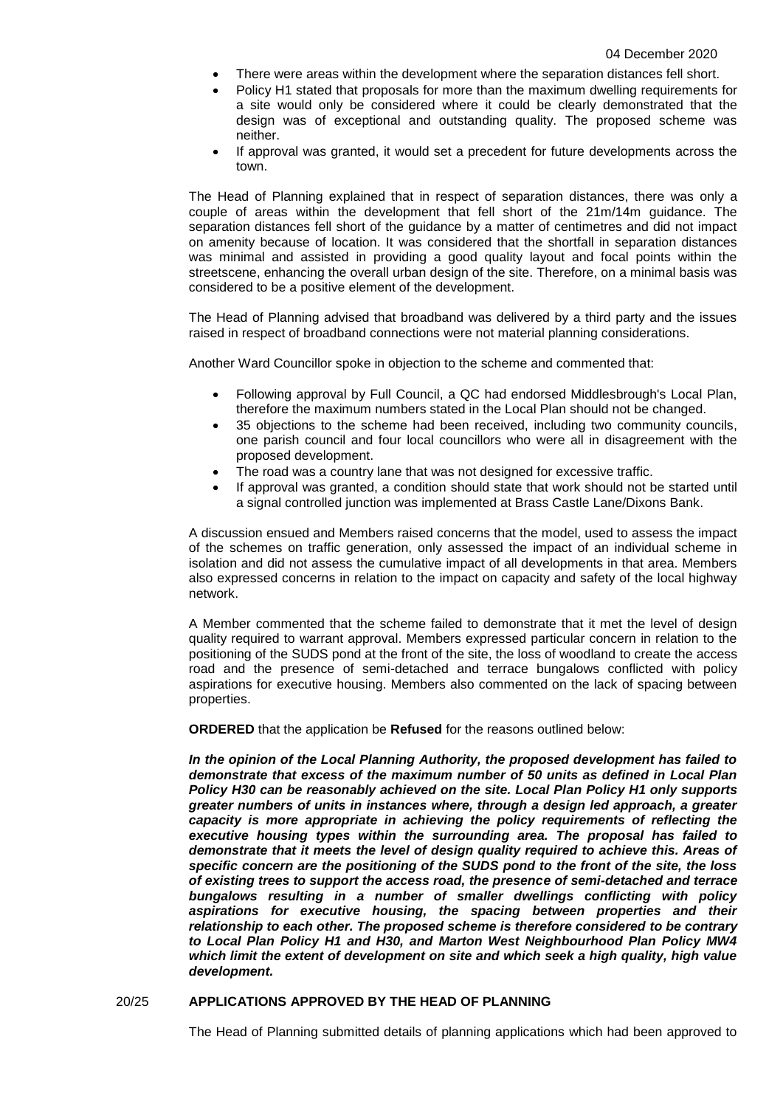- There were areas within the development where the separation distances fell short.
- Policy H1 stated that proposals for more than the maximum dwelling requirements for a site would only be considered where it could be clearly demonstrated that the design was of exceptional and outstanding quality. The proposed scheme was neither.
- If approval was granted, it would set a precedent for future developments across the town.

The Head of Planning explained that in respect of separation distances, there was only a couple of areas within the development that fell short of the 21m/14m guidance. The separation distances fell short of the guidance by a matter of centimetres and did not impact on amenity because of location. It was considered that the shortfall in separation distances was minimal and assisted in providing a good quality layout and focal points within the streetscene, enhancing the overall urban design of the site. Therefore, on a minimal basis was considered to be a positive element of the development.

The Head of Planning advised that broadband was delivered by a third party and the issues raised in respect of broadband connections were not material planning considerations.

Another Ward Councillor spoke in objection to the scheme and commented that:

- Following approval by Full Council, a QC had endorsed Middlesbrough's Local Plan, therefore the maximum numbers stated in the Local Plan should not be changed.
- 35 objections to the scheme had been received, including two community councils, one parish council and four local councillors who were all in disagreement with the proposed development.
- The road was a country lane that was not designed for excessive traffic.
- If approval was granted, a condition should state that work should not be started until a signal controlled junction was implemented at Brass Castle Lane/Dixons Bank.

A discussion ensued and Members raised concerns that the model, used to assess the impact of the schemes on traffic generation, only assessed the impact of an individual scheme in isolation and did not assess the cumulative impact of all developments in that area. Members also expressed concerns in relation to the impact on capacity and safety of the local highway network.

A Member commented that the scheme failed to demonstrate that it met the level of design quality required to warrant approval. Members expressed particular concern in relation to the positioning of the SUDS pond at the front of the site, the loss of woodland to create the access road and the presence of semi-detached and terrace bungalows conflicted with policy aspirations for executive housing. Members also commented on the lack of spacing between properties.

**ORDERED** that the application be **Refused** for the reasons outlined below:

*In the opinion of the Local Planning Authority, the proposed development has failed to demonstrate that excess of the maximum number of 50 units as defined in Local Plan Policy H30 can be reasonably achieved on the site. Local Plan Policy H1 only supports greater numbers of units in instances where, through a design led approach, a greater capacity is more appropriate in achieving the policy requirements of reflecting the executive housing types within the surrounding area. The proposal has failed to demonstrate that it meets the level of design quality required to achieve this. Areas of specific concern are the positioning of the SUDS pond to the front of the site, the loss of existing trees to support the access road, the presence of semi-detached and terrace bungalows resulting in a number of smaller dwellings conflicting with policy aspirations for executive housing, the spacing between properties and their relationship to each other. The proposed scheme is therefore considered to be contrary to Local Plan Policy H1 and H30, and Marton West Neighbourhood Plan Policy MW4 which limit the extent of development on site and which seek a high quality, high value development.*

# 20/25 **APPLICATIONS APPROVED BY THE HEAD OF PLANNING**

The Head of Planning submitted details of planning applications which had been approved to